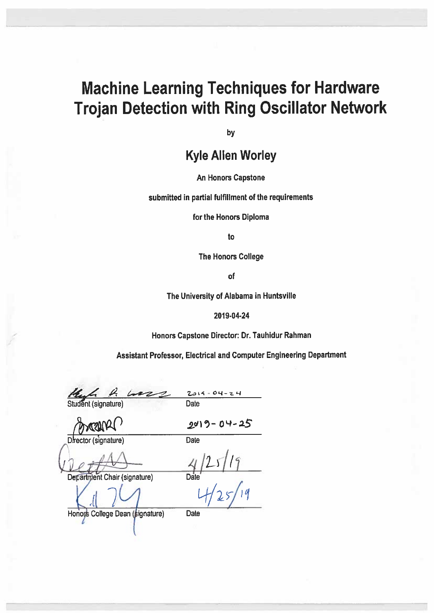## **Machine Learning Techniques for Hardware Trojan Detection with Ring Oscillator Network**

by

#### **Kyle Alien Worley**

#### An Honors Capstone

submitted in partial fulfillment of the requirements

for the Honors Diploma

to

**The Honors College** 

of

The University of Alabama in Huntsville

#### 2019-04-24

Honors Capstone Director: Dr. Tauhidur Rahman

Assistant Professor, Electrical and Computer Engineering Department

Student (signature)  $2014 - 04 - 24$ Date

 $2019 - 04 - 25$ 

Director (signature)

 $\frac{125119}{42519}$ **Date** 

Department Chair (signature)

Honors College Dean (signature)

Date

Date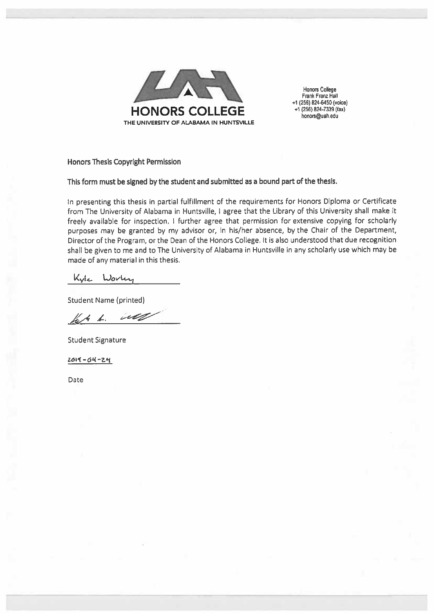

**Honors College** Frank Franz Hall +1 (256) 824-6450 (voice)  $+1$  (256) 824-7339 (fax) honors@uah.edu

Honors Thesis Copyright Permission

This form must be signed by the student and submitted as a bound part of the thesis.

In presenting this thesis in partial fulfillment of the requirements for Honors Diploma or Certificate from The University of Alabama in Huntsville, I agree that the Library of this University shall make it freely available for inspection. I further agree that permission for extensive copying for scholarly purposes may be granted by my advisor or, in his/her absence, by the Chair of the Department, Director of the Program, or the Dean of the Honors College. It is also understood that due recognition shall be given to me and to The University of Alabama in Huntsville in any scholarly use which may be made of any material in this thesis.

Kyle Worker

Student Name (printed)

all late h.

**Student Signature** 

 $2019 - 64 - 24$ 

Date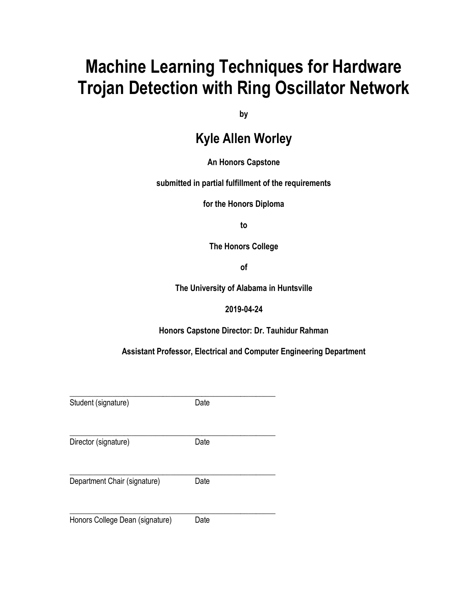## **Machine Learning Techniques for Hardware Trojan Detection with Ring Oscillator Network**

**by**

### **Kyle Allen Worley**

#### **An Honors Capstone**

**submitted in partial fulfillment of the requirements** 

**for the Honors Diploma**

**to** 

**The Honors College** 

**of** 

**The University of Alabama in Huntsville**

#### **2019-04-24**

**Honors Capstone Director: Dr. Tauhidur Rahman**

**Assistant Professor, Electrical and Computer Engineering Department**

| Student (signature)             | Date |  |
|---------------------------------|------|--|
| Director (signature)            | Date |  |
| Department Chair (signature)    | Date |  |
| Honors College Dean (signature) | Date |  |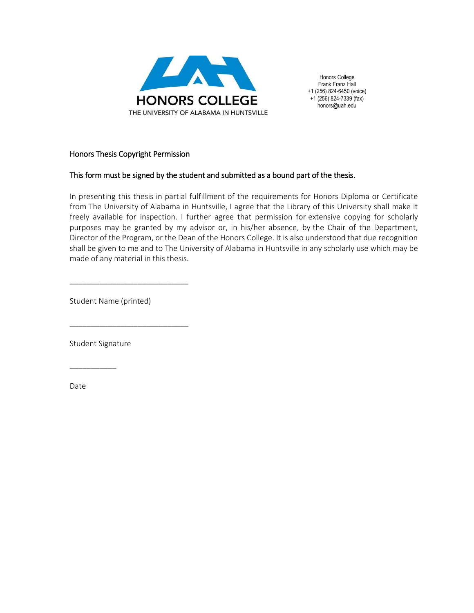

Honors College Frank Franz Hall +1 (256) 824-6450 (voice) +1 (256) 824-7339 (fax) honors@uah.edu

#### Honors Thesis Copyright Permission

#### This form must be signed by the student and submitted as a bound part of the thesis.

In presenting this thesis in partial fulfillment of the requirements for Honors Diploma or Certificate from The University of Alabama in Huntsville, I agree that the Library of this University shall make it freely available for inspection. I further agree that permission for extensive copying for scholarly purposes may be granted by my advisor or, in his/her absence, by the Chair of the Department, Director of the Program, or the Dean of the Honors College. It is also understood that due recognition shall be given to me and to The University of Alabama in Huntsville in any scholarly use which may be made of any material in this thesis.

Student Name (printed)

\_\_\_\_\_\_\_\_\_\_\_\_\_\_\_\_\_\_\_\_\_\_\_\_\_\_\_\_

\_\_\_\_\_\_\_\_\_\_\_\_\_\_\_\_\_\_\_\_\_\_\_\_\_\_\_\_

Student Signature

\_\_\_\_\_\_\_\_\_\_\_

Date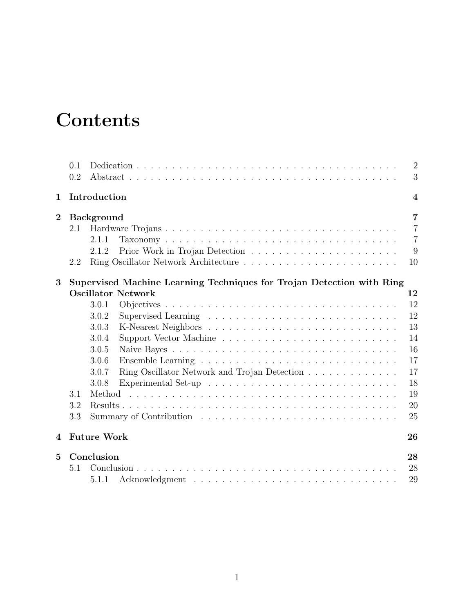## **Contents**

|                  | 0.1<br>0.2 |                                                                       | $\overline{2}$<br>3 |
|------------------|------------|-----------------------------------------------------------------------|---------------------|
| 1                |            | Introduction                                                          | $\overline{4}$      |
| $\overline{2}$   |            | <b>Background</b>                                                     | $\overline{7}$      |
|                  | 2.1        |                                                                       | $\overline{7}$      |
|                  |            | 2.1.1                                                                 | $\overline{7}$      |
|                  |            | 2.1.2                                                                 | 9                   |
|                  | 2.2        |                                                                       | 10                  |
| 3                |            | Supervised Machine Learning Techniques for Trojan Detection with Ring |                     |
|                  |            | <b>Oscillator Network</b>                                             | 12                  |
|                  |            | 3.0.1                                                                 | 12                  |
|                  |            | 3.0.2                                                                 | 12                  |
|                  |            | 3.0.3                                                                 | 13                  |
|                  |            | 3.0.4                                                                 | 14                  |
|                  |            | 3.0.5                                                                 | 16                  |
|                  |            | 3.0.6                                                                 | 17                  |
|                  |            | Ring Oscillator Network and Trojan Detection<br>3.0.7                 | 17                  |
|                  |            | 3.0.8                                                                 | 18                  |
|                  | 3.1        | Method                                                                | 19                  |
|                  | 3.2        |                                                                       | 20                  |
|                  | 3.3        |                                                                       | 25                  |
| $\boldsymbol{4}$ |            | <b>Future Work</b>                                                    | 26                  |
| $\overline{5}$   |            | Conclusion                                                            | 28                  |
|                  | 5.1        |                                                                       | 28                  |
|                  |            | 5.1.1                                                                 | 29                  |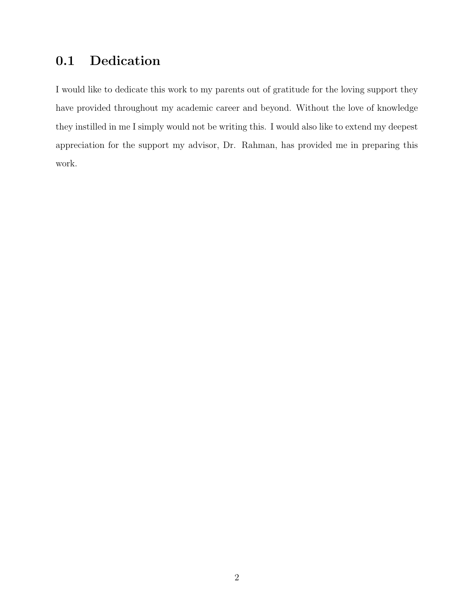### 0.1 Dedication

I would like to dedicate this work to my parents out of gratitude for the loving support they have provided throughout my academic career and beyond. Without the love of knowledge they instilled in me I simply would not be writing this. I would also like to extend my deepest appreciation for the support my advisor, Dr. Rahman, has provided me in preparing this work.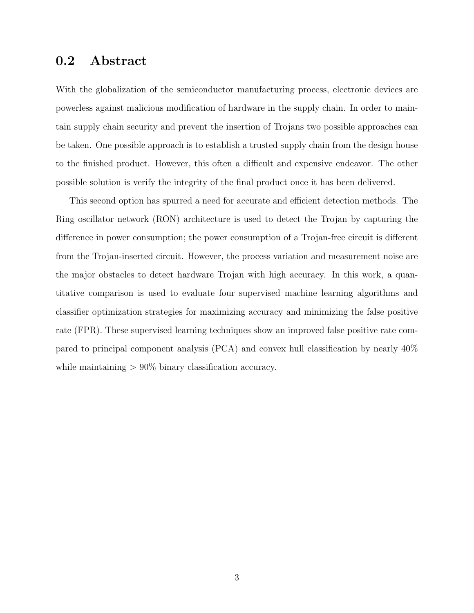#### 0.2 Abstract

With the globalization of the semiconductor manufacturing process, electronic devices are powerless against malicious modification of hardware in the supply chain. In order to maintain supply chain security and prevent the insertion of Trojans two possible approaches can be taken. One possible approach is to establish a trusted supply chain from the design house to the finished product. However, this often a difficult and expensive endeavor. The other possible solution is verify the integrity of the final product once it has been delivered.

This second option has spurred a need for accurate and efficient detection methods. The Ring oscillator network (RON) architecture is used to detect the Trojan by capturing the difference in power consumption; the power consumption of a Trojan-free circuit is different from the Trojan-inserted circuit. However, the process variation and measurement noise are the major obstacles to detect hardware Trojan with high accuracy. In this work, a quantitative comparison is used to evaluate four supervised machine learning algorithms and classifier optimization strategies for maximizing accuracy and minimizing the false positive rate (FPR). These supervised learning techniques show an improved false positive rate compared to principal component analysis (PCA) and convex hull classification by nearly 40% while maintaining  $> 90\%$  binary classification accuracy.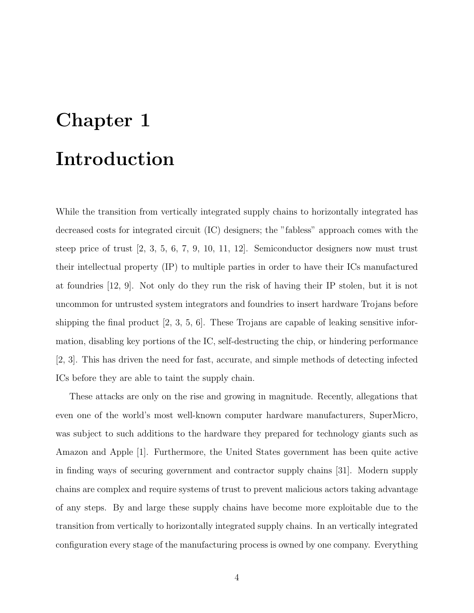# Chapter 1 Introduction

While the transition from vertically integrated supply chains to horizontally integrated has decreased costs for integrated circuit (IC) designers; the "fabless" approach comes with the steep price of trust [2, 3, 5, 6, 7, 9, 10, 11, 12]. Semiconductor designers now must trust their intellectual property (IP) to multiple parties in order to have their ICs manufactured at foundries [12, 9]. Not only do they run the risk of having their IP stolen, but it is not uncommon for untrusted system integrators and foundries to insert hardware Trojans before shipping the final product [2, 3, 5, 6]. These Trojans are capable of leaking sensitive information, disabling key portions of the IC, self-destructing the chip, or hindering performance [2, 3]. This has driven the need for fast, accurate, and simple methods of detecting infected ICs before they are able to taint the supply chain.

These attacks are only on the rise and growing in magnitude. Recently, allegations that even one of the world's most well-known computer hardware manufacturers, SuperMicro, was subject to such additions to the hardware they prepared for technology giants such as Amazon and Apple [1]. Furthermore, the United States government has been quite active in finding ways of securing government and contractor supply chains [31]. Modern supply chains are complex and require systems of trust to prevent malicious actors taking advantage of any steps. By and large these supply chains have become more exploitable due to the transition from vertically to horizontally integrated supply chains. In an vertically integrated configuration every stage of the manufacturing process is owned by one company. Everything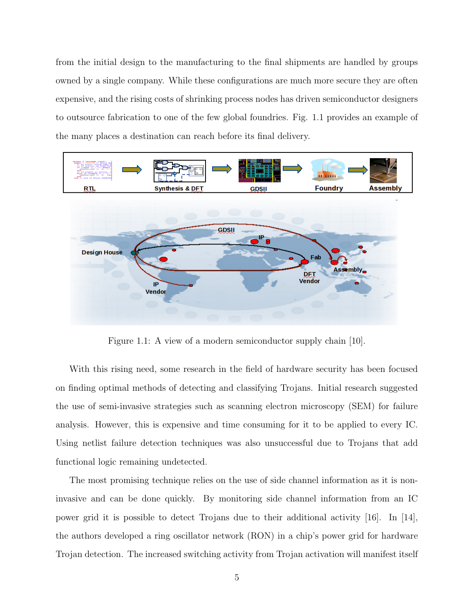from the initial design to the manufacturing to the final shipments are handled by groups owned by a single company. While these configurations are much more secure they are often expensive, and the rising costs of shrinking process nodes has driven semiconductor designers to outsource fabrication to one of the few global foundries. Fig. 1.1 provides an example of the many places a destination can reach before its final delivery.



Figure 1.1: A view of a modern semiconductor supply chain [10].

With this rising need, some research in the field of hardware security has been focused on finding optimal methods of detecting and classifying Trojans. Initial research suggested the use of semi-invasive strategies such as scanning electron microscopy (SEM) for failure analysis. However, this is expensive and time consuming for it to be applied to every IC. Using netlist failure detection techniques was also unsuccessful due to Trojans that add functional logic remaining undetected.

The most promising technique relies on the use of side channel information as it is noninvasive and can be done quickly. By monitoring side channel information from an IC power grid it is possible to detect Trojans due to their additional activity [16]. In [14], the authors developed a ring oscillator network (RON) in a chip's power grid for hardware Trojan detection. The increased switching activity from Trojan activation will manifest itself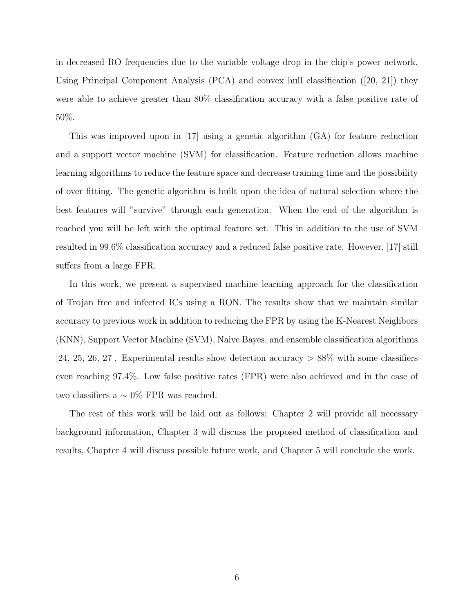in decreased RO frequencies due to the variable voltage drop in the chip's power network. Using Principal Component Analysis (PCA) and convex hull classification ([20, 21]) they were able to achieve greater than 80% classification accuracy with a false positive rate of 50%.

This was improved upon in [17] using a genetic algorithm (GA) for feature reduction and a support vector machine (SVM) for classification. Feature reduction allows machine learning algorithms to reduce the feature space and decrease training time and the possibility of over fitting. The genetic algorithm is built upon the idea of natural selection where the best features will "survive" through each generation. When the end of the algorithm is reached you will be left with the optimal feature set. This in addition to the use of SVM resulted in 99.6% classification accuracy and a reduced false positive rate. However, [17] still suffers from a large FPR.

In this work, we present a supervised machine learning approach for the classification of Trojan free and infected ICs using a RON. The results show that we maintain similar accuracy to previous work in addition to reducing the FPR by using the K-Nearest Neighbors (KNN), Support Vector Machine (SVM), Naive Bayes, and ensemble classification algorithms [24, 25, 26, 27]. Experimental results show detection accuracy  $> 88\%$  with some classifiers even reaching 97.4%. Low false positive rates (FPR) were also achieved and in the case of two classifiers a  $\sim$  0% FPR was reached.

The rest of this work will be laid out as follows: Chapter 2 will provide all necessary background information, Chapter 3 will discuss the proposed method of classification and results, Chapter 4 will discuss possible future work, and Chapter 5 will conclude the work.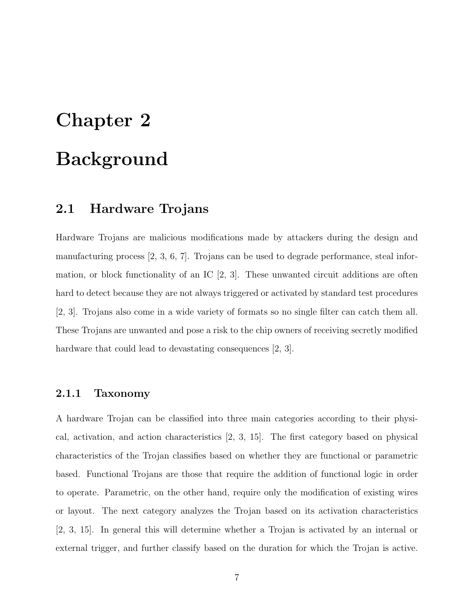# Chapter 2 Background

#### 2.1 Hardware Trojans

Hardware Trojans are malicious modifications made by attackers during the design and manufacturing process [2, 3, 6, 7]. Trojans can be used to degrade performance, steal information, or block functionality of an IC [2, 3]. These unwanted circuit additions are often hard to detect because they are not always triggered or activated by standard test procedures [2, 3]. Trojans also come in a wide variety of formats so no single filter can catch them all. These Trojans are unwanted and pose a risk to the chip owners of receiving secretly modified hardware that could lead to devastating consequences [2, 3].

#### 2.1.1 Taxonomy

A hardware Trojan can be classified into three main categories according to their physical, activation, and action characteristics [2, 3, 15]. The first category based on physical characteristics of the Trojan classifies based on whether they are functional or parametric based. Functional Trojans are those that require the addition of functional logic in order to operate. Parametric, on the other hand, require only the modification of existing wires or layout. The next category analyzes the Trojan based on its activation characteristics [2, 3, 15]. In general this will determine whether a Trojan is activated by an internal or external trigger, and further classify based on the duration for which the Trojan is active.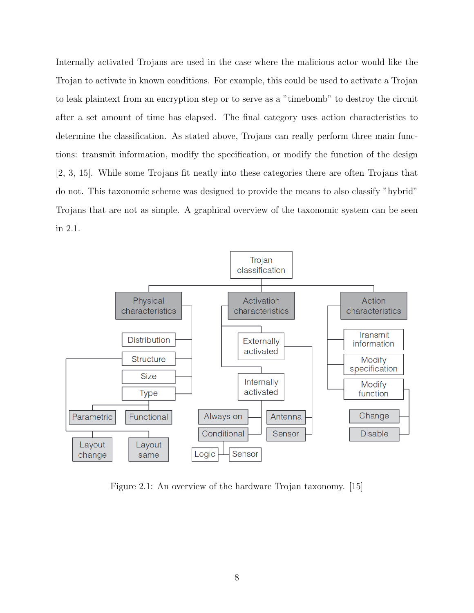Internally activated Trojans are used in the case where the malicious actor would like the Trojan to activate in known conditions. For example, this could be used to activate a Trojan to leak plaintext from an encryption step or to serve as a "timebomb" to destroy the circuit after a set amount of time has elapsed. The final category uses action characteristics to determine the classification. As stated above, Trojans can really perform three main functions: transmit information, modify the specification, or modify the function of the design [2, 3, 15]. While some Trojans fit neatly into these categories there are often Trojans that do not. This taxonomic scheme was designed to provide the means to also classify "hybrid" Trojans that are not as simple. A graphical overview of the taxonomic system can be seen in 2.1.



Figure 2.1: An overview of the hardware Trojan taxonomy. [15]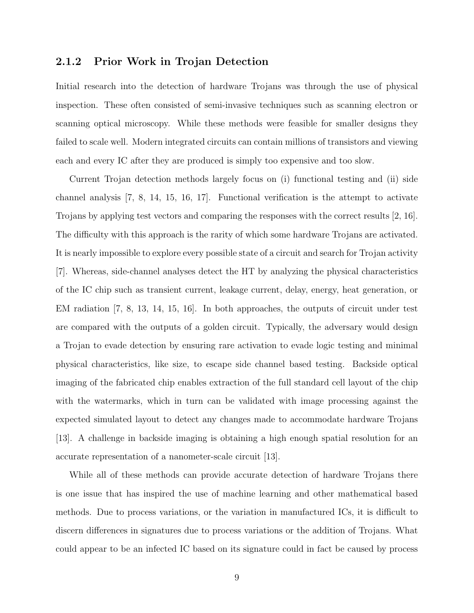#### 2.1.2 Prior Work in Trojan Detection

Initial research into the detection of hardware Trojans was through the use of physical inspection. These often consisted of semi-invasive techniques such as scanning electron or scanning optical microscopy. While these methods were feasible for smaller designs they failed to scale well. Modern integrated circuits can contain millions of transistors and viewing each and every IC after they are produced is simply too expensive and too slow.

Current Trojan detection methods largely focus on (i) functional testing and (ii) side channel analysis [7, 8, 14, 15, 16, 17]. Functional verification is the attempt to activate Trojans by applying test vectors and comparing the responses with the correct results [2, 16]. The difficulty with this approach is the rarity of which some hardware Trojans are activated. It is nearly impossible to explore every possible state of a circuit and search for Trojan activity [7]. Whereas, side-channel analyses detect the HT by analyzing the physical characteristics of the IC chip such as transient current, leakage current, delay, energy, heat generation, or EM radiation [7, 8, 13, 14, 15, 16]. In both approaches, the outputs of circuit under test are compared with the outputs of a golden circuit. Typically, the adversary would design a Trojan to evade detection by ensuring rare activation to evade logic testing and minimal physical characteristics, like size, to escape side channel based testing. Backside optical imaging of the fabricated chip enables extraction of the full standard cell layout of the chip with the watermarks, which in turn can be validated with image processing against the expected simulated layout to detect any changes made to accommodate hardware Trojans [13]. A challenge in backside imaging is obtaining a high enough spatial resolution for an accurate representation of a nanometer-scale circuit [13].

While all of these methods can provide accurate detection of hardware Trojans there is one issue that has inspired the use of machine learning and other mathematical based methods. Due to process variations, or the variation in manufactured ICs, it is difficult to discern differences in signatures due to process variations or the addition of Trojans. What could appear to be an infected IC based on its signature could in fact be caused by process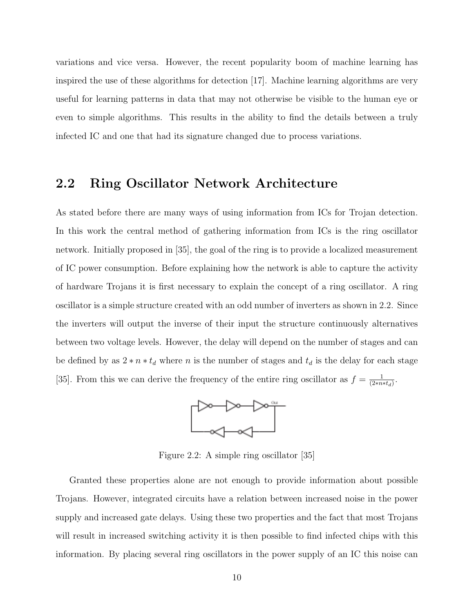variations and vice versa. However, the recent popularity boom of machine learning has inspired the use of these algorithms for detection [17]. Machine learning algorithms are very useful for learning patterns in data that may not otherwise be visible to the human eye or even to simple algorithms. This results in the ability to find the details between a truly infected IC and one that had its signature changed due to process variations.

#### 2.2 Ring Oscillator Network Architecture

As stated before there are many ways of using information from ICs for Trojan detection. In this work the central method of gathering information from ICs is the ring oscillator network. Initially proposed in [35], the goal of the ring is to provide a localized measurement of IC power consumption. Before explaining how the network is able to capture the activity of hardware Trojans it is first necessary to explain the concept of a ring oscillator. A ring oscillator is a simple structure created with an odd number of inverters as shown in 2.2. Since the inverters will output the inverse of their input the structure continuously alternatives between two voltage levels. However, the delay will depend on the number of stages and can be defined by as  $2 * n * t_d$  where n is the number of stages and  $t_d$  is the delay for each stage [35]. From this we can derive the frequency of the entire ring oscillator as  $f = \frac{1}{(2\pi n)^2}$  $\frac{1}{(2*n*t_d)}$ .



Figure 2.2: A simple ring oscillator [35]

Granted these properties alone are not enough to provide information about possible Trojans. However, integrated circuits have a relation between increased noise in the power supply and increased gate delays. Using these two properties and the fact that most Trojans will result in increased switching activity it is then possible to find infected chips with this information. By placing several ring oscillators in the power supply of an IC this noise can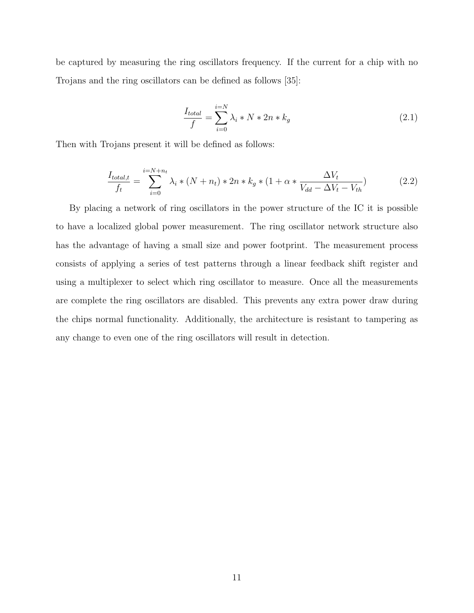be captured by measuring the ring oscillators frequency. If the current for a chip with no Trojans and the ring oscillators can be defined as follows [35]:

$$
\frac{I_{total}}{f} = \sum_{i=0}^{i=N} \lambda_i * N * 2n * k_g
$$
\n(2.1)

Then with Trojans present it will be defined as follows:

$$
\frac{I_{total,t}}{f_t} = \sum_{i=0}^{i=N+n_t} \lambda_i * (N+n_t) * 2n * k_g * (1 + \alpha * \frac{\Delta V_t}{V_{dd} - \Delta V_t - V_{th}})
$$
(2.2)

By placing a network of ring oscillators in the power structure of the IC it is possible to have a localized global power measurement. The ring oscillator network structure also has the advantage of having a small size and power footprint. The measurement process consists of applying a series of test patterns through a linear feedback shift register and using a multiplexer to select which ring oscillator to measure. Once all the measurements are complete the ring oscillators are disabled. This prevents any extra power draw during the chips normal functionality. Additionally, the architecture is resistant to tampering as any change to even one of the ring oscillators will result in detection.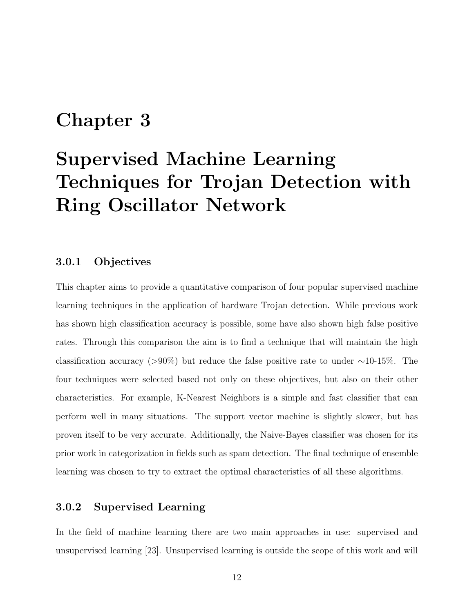### Chapter 3

## Supervised Machine Learning Techniques for Trojan Detection with Ring Oscillator Network

#### 3.0.1 Objectives

This chapter aims to provide a quantitative comparison of four popular supervised machine learning techniques in the application of hardware Trojan detection. While previous work has shown high classification accuracy is possible, some have also shown high false positive rates. Through this comparison the aim is to find a technique that will maintain the high classification accuracy (>90%) but reduce the false positive rate to under ∼10-15%. The four techniques were selected based not only on these objectives, but also on their other characteristics. For example, K-Nearest Neighbors is a simple and fast classifier that can perform well in many situations. The support vector machine is slightly slower, but has proven itself to be very accurate. Additionally, the Naive-Bayes classifier was chosen for its prior work in categorization in fields such as spam detection. The final technique of ensemble learning was chosen to try to extract the optimal characteristics of all these algorithms.

#### 3.0.2 Supervised Learning

In the field of machine learning there are two main approaches in use: supervised and unsupervised learning [23]. Unsupervised learning is outside the scope of this work and will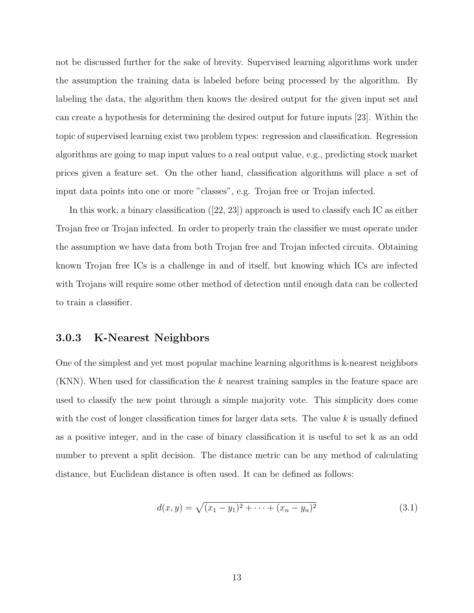not be discussed further for the sake of brevity. Supervised learning algorithms work under the assumption the training data is labeled before being processed by the algorithm. By labeling the data, the algorithm then knows the desired output for the given input set and can create a hypothesis for determining the desired output for future inputs [23]. Within the topic of supervised learning exist two problem types: regression and classification. Regression algorithms are going to map input values to a real output value, e.g., predicting stock market prices given a feature set. On the other hand, classification algorithms will place a set of input data points into one or more "classes", e.g. Trojan free or Trojan infected.

In this work, a binary classification ([22, 23]) approach is used to classify each IC as either Trojan free or Trojan infected. In order to properly train the classifier we must operate under the assumption we have data from both Trojan free and Trojan infected circuits. Obtaining known Trojan free ICs is a challenge in and of itself, but knowing which ICs are infected with Trojans will require some other method of detection until enough data can be collected to train a classifier.

#### 3.0.3 K-Nearest Neighbors

One of the simplest and yet most popular machine learning algorithms is k-nearest neighbors  $(KNN)$ . When used for classification the k nearest training samples in the feature space are used to classify the new point through a simple majority vote. This simplicity does come with the cost of longer classification times for larger data sets. The value  $k$  is usually defined as a positive integer, and in the case of binary classification it is useful to set k as an odd number to prevent a split decision. The distance metric can be any method of calculating distance, but Euclidean distance is often used. It can be defined as follows:

$$
d(x,y) = \sqrt{(x_1 - y_1)^2 + \dots + (x_n - y_n)^2}
$$
\n(3.1)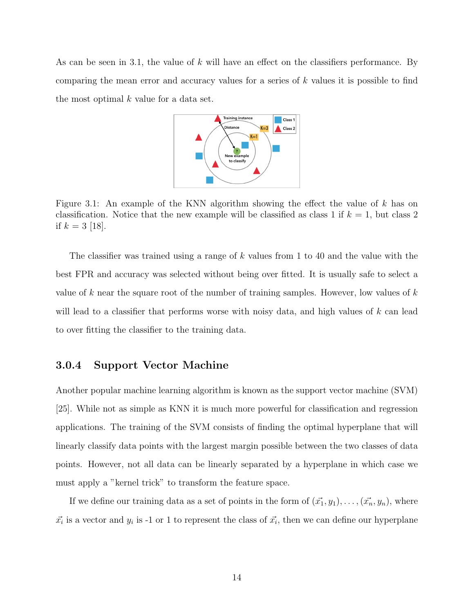As can be seen in 3.1, the value of  $k$  will have an effect on the classifiers performance. By comparing the mean error and accuracy values for a series of k values it is possible to find the most optimal  $k$  value for a data set.



Figure 3.1: An example of the KNN algorithm showing the effect the value of k has on classification. Notice that the new example will be classified as class 1 if  $k = 1$ , but class 2 if  $k = 3$  [18].

The classifier was trained using a range of  $k$  values from 1 to 40 and the value with the best FPR and accuracy was selected without being over fitted. It is usually safe to select a value of k near the square root of the number of training samples. However, low values of  $k$ will lead to a classifier that performs worse with noisy data, and high values of  $k$  can lead to over fitting the classifier to the training data.

#### 3.0.4 Support Vector Machine

Another popular machine learning algorithm is known as the support vector machine (SVM) [25]. While not as simple as KNN it is much more powerful for classification and regression applications. The training of the SVM consists of finding the optimal hyperplane that will linearly classify data points with the largest margin possible between the two classes of data points. However, not all data can be linearly separated by a hyperplane in which case we must apply a "kernel trick" to transform the feature space.

If we define our training data as a set of points in the form of  $(\vec{x_1}, y_1), \ldots, (\vec{x_n}, y_n)$ , where  $\vec{x_i}$  is a vector and  $y_i$  is -1 or 1 to represent the class of  $\vec{x_i}$ , then we can define our hyperplane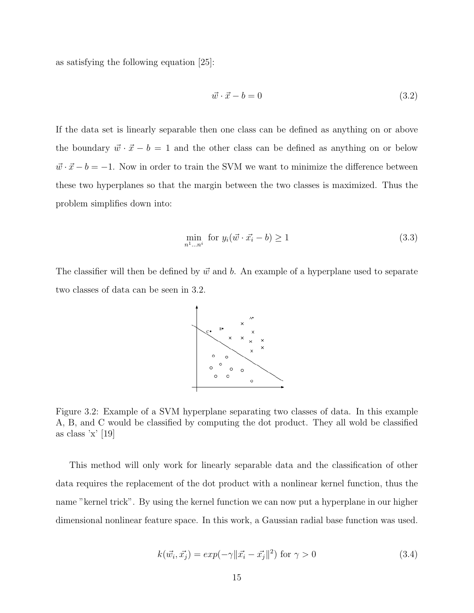as satisfying the following equation [25]:

$$
\vec{w} \cdot \vec{x} - b = 0 \tag{3.2}
$$

If the data set is linearly separable then one class can be defined as anything on or above the boundary  $\vec{w} \cdot \vec{x} - b = 1$  and the other class can be defined as anything on or below  $\vec{w} \cdot \vec{x} - b = -1$ . Now in order to train the SVM we want to minimize the difference between these two hyperplanes so that the margin between the two classes is maximized. Thus the problem simplifies down into:

$$
\min_{n^1 \dots n^i} \text{ for } y_i(\vec{w} \cdot \vec{x_i} - b) \ge 1 \tag{3.3}
$$

The classifier will then be defined by  $\vec{w}$  and b. An example of a hyperplane used to separate two classes of data can be seen in 3.2.



Figure 3.2: Example of a SVM hyperplane separating two classes of data. In this example A, B, and C would be classified by computing the dot product. They all wold be classified as class 'x'  $[19]$ 

This method will only work for linearly separable data and the classification of other data requires the replacement of the dot product with a nonlinear kernel function, thus the name "kernel trick". By using the kernel function we can now put a hyperplane in our higher dimensional nonlinear feature space. In this work, a Gaussian radial base function was used.

$$
k(\vec{w_i}, \vec{x_j}) = exp(-\gamma ||\vec{x_i} - \vec{x_j}||^2) \text{ for } \gamma > 0
$$
 (3.4)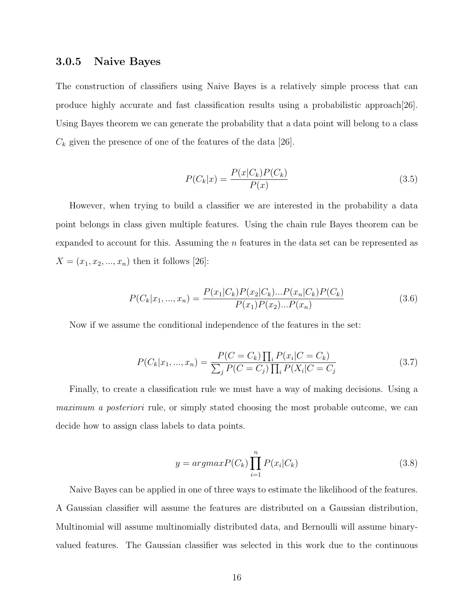#### 3.0.5 Naive Bayes

The construction of classifiers using Naive Bayes is a relatively simple process that can produce highly accurate and fast classification results using a probabilistic approach[26]. Using Bayes theorem we can generate the probability that a data point will belong to a class  $C_k$  given the presence of one of the features of the data [26].

$$
P(C_k|x) = \frac{P(x|C_k)P(C_k)}{P(x)}
$$
\n
$$
(3.5)
$$

However, when trying to build a classifier we are interested in the probability a data point belongs in class given multiple features. Using the chain rule Bayes theorem can be expanded to account for this. Assuming the n features in the data set can be represented as  $X = (x_1, x_2, ..., x_n)$  then it follows [26]:

$$
P(C_k|x_1,...,x_n) = \frac{P(x_1|C_k)P(x_2|C_k)...P(x_n|C_k)P(C_k)}{P(x_1)P(x_2)...P(x_n)}
$$
(3.6)

Now if we assume the conditional independence of the features in the set:

$$
P(C_k|x_1,...,x_n) = \frac{P(C = C_k) \prod_i P(x_i|C = C_k)}{\sum_j P(C = C_j) \prod_i P(X_i|C = C_j)}
$$
(3.7)

Finally, to create a classification rule we must have a way of making decisions. Using a maximum a posteriori rule, or simply stated choosing the most probable outcome, we can decide how to assign class labels to data points.

$$
y = argmax P(C_k) \prod_{i=1}^{n} P(x_i | C_k)
$$
\n(3.8)

Naive Bayes can be applied in one of three ways to estimate the likelihood of the features. A Gaussian classifier will assume the features are distributed on a Gaussian distribution, Multinomial will assume multinomially distributed data, and Bernoulli will assume binaryvalued features. The Gaussian classifier was selected in this work due to the continuous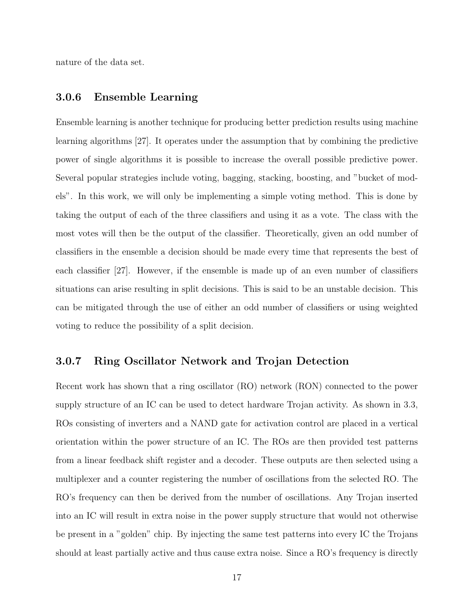nature of the data set.

#### 3.0.6 Ensemble Learning

Ensemble learning is another technique for producing better prediction results using machine learning algorithms [27]. It operates under the assumption that by combining the predictive power of single algorithms it is possible to increase the overall possible predictive power. Several popular strategies include voting, bagging, stacking, boosting, and "bucket of models". In this work, we will only be implementing a simple voting method. This is done by taking the output of each of the three classifiers and using it as a vote. The class with the most votes will then be the output of the classifier. Theoretically, given an odd number of classifiers in the ensemble a decision should be made every time that represents the best of each classifier [27]. However, if the ensemble is made up of an even number of classifiers situations can arise resulting in split decisions. This is said to be an unstable decision. This can be mitigated through the use of either an odd number of classifiers or using weighted voting to reduce the possibility of a split decision.

#### 3.0.7 Ring Oscillator Network and Trojan Detection

Recent work has shown that a ring oscillator (RO) network (RON) connected to the power supply structure of an IC can be used to detect hardware Trojan activity. As shown in 3.3, ROs consisting of inverters and a NAND gate for activation control are placed in a vertical orientation within the power structure of an IC. The ROs are then provided test patterns from a linear feedback shift register and a decoder. These outputs are then selected using a multiplexer and a counter registering the number of oscillations from the selected RO. The RO's frequency can then be derived from the number of oscillations. Any Trojan inserted into an IC will result in extra noise in the power supply structure that would not otherwise be present in a "golden" chip. By injecting the same test patterns into every IC the Trojans should at least partially active and thus cause extra noise. Since a RO's frequency is directly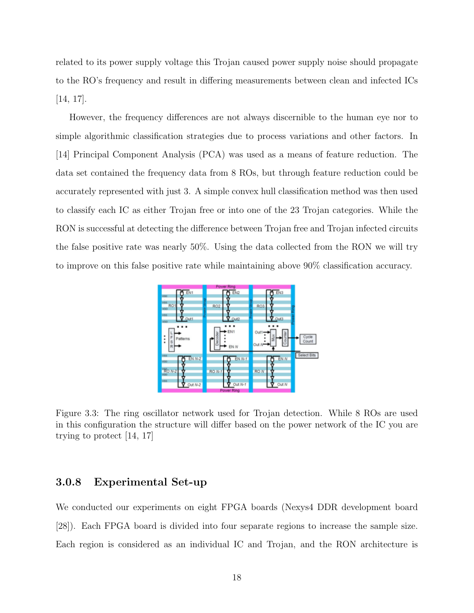related to its power supply voltage this Trojan caused power supply noise should propagate to the RO's frequency and result in differing measurements between clean and infected ICs  $[14, 17]$ .

However, the frequency differences are not always discernible to the human eye nor to simple algorithmic classification strategies due to process variations and other factors. In [14] Principal Component Analysis (PCA) was used as a means of feature reduction. The data set contained the frequency data from 8 ROs, but through feature reduction could be accurately represented with just 3. A simple convex hull classification method was then used to classify each IC as either Trojan free or into one of the 23 Trojan categories. While the RON is successful at detecting the difference between Trojan free and Trojan infected circuits the false positive rate was nearly 50%. Using the data collected from the RON we will try to improve on this false positive rate while maintaining above 90% classification accuracy.



Figure 3.3: The ring oscillator network used for Trojan detection. While 8 ROs are used in this configuration the structure will differ based on the power network of the IC you are trying to protect [14, 17]

#### 3.0.8 Experimental Set-up

We conducted our experiments on eight FPGA boards (Nexys4 DDR development board [28]). Each FPGA board is divided into four separate regions to increase the sample size. Each region is considered as an individual IC and Trojan, and the RON architecture is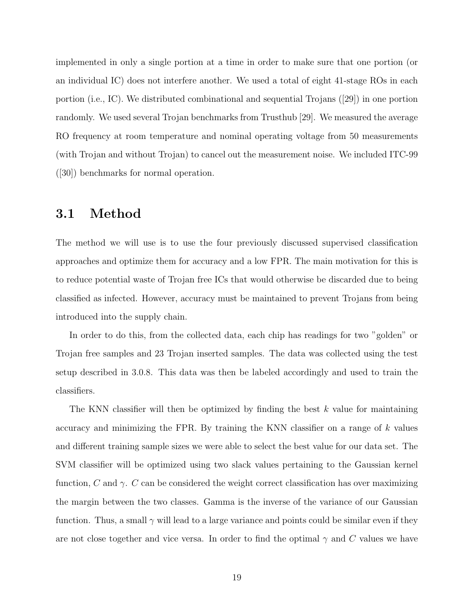implemented in only a single portion at a time in order to make sure that one portion (or an individual IC) does not interfere another. We used a total of eight 41-stage ROs in each portion (i.e., IC). We distributed combinational and sequential Trojans ([29]) in one portion randomly. We used several Trojan benchmarks from Trusthub [29]. We measured the average RO frequency at room temperature and nominal operating voltage from 50 measurements (with Trojan and without Trojan) to cancel out the measurement noise. We included ITC-99 ([30]) benchmarks for normal operation.

#### 3.1 Method

The method we will use is to use the four previously discussed supervised classification approaches and optimize them for accuracy and a low FPR. The main motivation for this is to reduce potential waste of Trojan free ICs that would otherwise be discarded due to being classified as infected. However, accuracy must be maintained to prevent Trojans from being introduced into the supply chain.

In order to do this, from the collected data, each chip has readings for two "golden" or Trojan free samples and 23 Trojan inserted samples. The data was collected using the test setup described in 3.0.8. This data was then be labeled accordingly and used to train the classifiers.

The KNN classifier will then be optimized by finding the best  $k$  value for maintaining accuracy and minimizing the FPR. By training the KNN classifier on a range of  $k$  values and different training sample sizes we were able to select the best value for our data set. The SVM classifier will be optimized using two slack values pertaining to the Gaussian kernel function, C and  $\gamma$ . C can be considered the weight correct classification has over maximizing the margin between the two classes. Gamma is the inverse of the variance of our Gaussian function. Thus, a small  $\gamma$  will lead to a large variance and points could be similar even if they are not close together and vice versa. In order to find the optimal  $\gamma$  and C values we have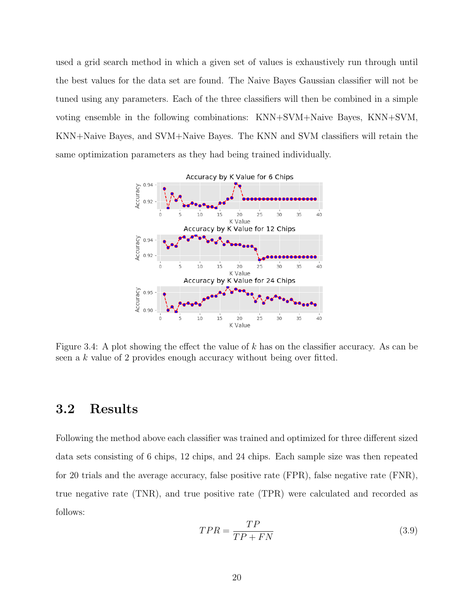used a grid search method in which a given set of values is exhaustively run through until the best values for the data set are found. The Naive Bayes Gaussian classifier will not be tuned using any parameters. Each of the three classifiers will then be combined in a simple voting ensemble in the following combinations: KNN+SVM+Naive Bayes, KNN+SVM, KNN+Naive Bayes, and SVM+Naive Bayes. The KNN and SVM classifiers will retain the same optimization parameters as they had being trained individually.



Figure 3.4: A plot showing the effect the value of k has on the classifier accuracy. As can be seen a k value of 2 provides enough accuracy without being over fitted.

#### 3.2 Results

Following the method above each classifier was trained and optimized for three different sized data sets consisting of 6 chips, 12 chips, and 24 chips. Each sample size was then repeated for 20 trials and the average accuracy, false positive rate (FPR), false negative rate (FNR), true negative rate (TNR), and true positive rate (TPR) were calculated and recorded as follows:

$$
TPR = \frac{TP}{TP + FN} \tag{3.9}
$$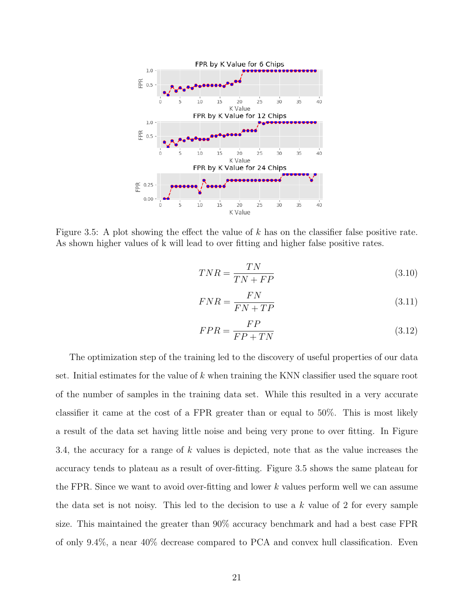

Figure 3.5: A plot showing the effect the value of  $k$  has on the classifier false positive rate. As shown higher values of k will lead to over fitting and higher false positive rates.

$$
TNR = \frac{TN}{TN + FP}
$$
\n
$$
(3.10)
$$

$$
FNR = \frac{FN}{FN + TP}
$$
\n
$$
(3.11)
$$

$$
FPR = \frac{FP}{FP + TN} \tag{3.12}
$$

The optimization step of the training led to the discovery of useful properties of our data set. Initial estimates for the value of  $k$  when training the KNN classifier used the square root of the number of samples in the training data set. While this resulted in a very accurate classifier it came at the cost of a FPR greater than or equal to 50%. This is most likely a result of the data set having little noise and being very prone to over fitting. In Figure 3.4, the accuracy for a range of k values is depicted, note that as the value increases the accuracy tends to plateau as a result of over-fitting. Figure 3.5 shows the same plateau for the FPR. Since we want to avoid over-fitting and lower  $k$  values perform well we can assume the data set is not noisy. This led to the decision to use a  $k$  value of 2 for every sample size. This maintained the greater than 90% accuracy benchmark and had a best case FPR of only 9.4%, a near 40% decrease compared to PCA and convex hull classification. Even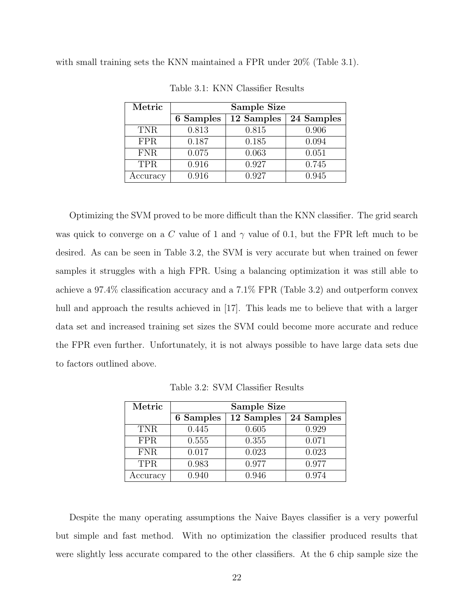with small training sets the KNN maintained a FPR under 20% (Table 3.1).

| Metric     | Sample Size |            |            |
|------------|-------------|------------|------------|
|            | 6 Samples   | 12 Samples | 24 Samples |
| <b>TNR</b> | 0.813       | 0.815      | 0.906      |
| <b>FPR</b> | 0.187       | 0.185      | 0.094      |
| <b>FNR</b> | 0.075       | 0.063      | 0.051      |
| <b>TPR</b> | 0.916       | 0.927      | 0.745      |
| Accuracy   | 0.916       | 0.927      | 0.945      |

Table 3.1: KNN Classifier Results

Optimizing the SVM proved to be more difficult than the KNN classifier. The grid search was quick to converge on a C value of 1 and  $\gamma$  value of 0.1, but the FPR left much to be desired. As can be seen in Table 3.2, the SVM is very accurate but when trained on fewer samples it struggles with a high FPR. Using a balancing optimization it was still able to achieve a 97.4% classification accuracy and a 7.1% FPR (Table 3.2) and outperform convex hull and approach the results achieved in [17]. This leads me to believe that with a larger data set and increased training set sizes the SVM could become more accurate and reduce the FPR even further. Unfortunately, it is not always possible to have large data sets due to factors outlined above.

| Metric     | Sample Size |            |            |
|------------|-------------|------------|------------|
|            | 6 Samples   | 12 Samples | 24 Samples |
| <b>TNR</b> | 0.445       | 0.605      | 0.929      |
| <b>FPR</b> | 0.555       | 0.355      | 0.071      |
| <b>FNR</b> | 0.017       | 0.023      | 0.023      |
| TPR.       | 0.983       | 0.977      | 0.977      |
| Accuracy   | 0.940       | 0.946      | 0.974      |

Table 3.2: SVM Classifier Results

Despite the many operating assumptions the Naive Bayes classifier is a very powerful but simple and fast method. With no optimization the classifier produced results that were slightly less accurate compared to the other classifiers. At the 6 chip sample size the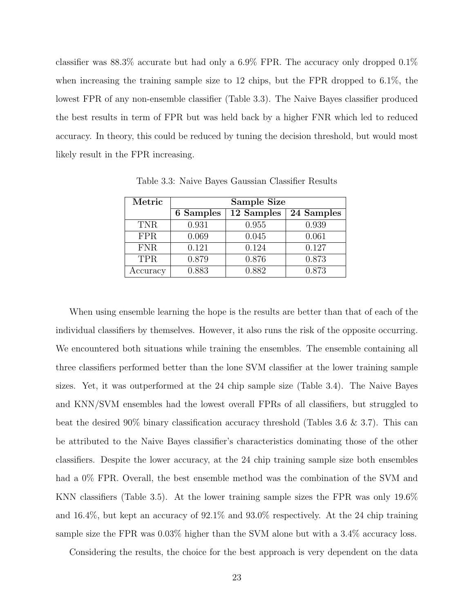classifier was 88.3% accurate but had only a 6.9% FPR. The accuracy only dropped 0.1% when increasing the training sample size to 12 chips, but the FPR dropped to 6.1%, the lowest FPR of any non-ensemble classifier (Table 3.3). The Naive Bayes classifier produced the best results in term of FPR but was held back by a higher FNR which led to reduced accuracy. In theory, this could be reduced by tuning the decision threshold, but would most likely result in the FPR increasing.

| Metric     | Sample Size |            |            |
|------------|-------------|------------|------------|
|            | 6 Samples   | 12 Samples | 24 Samples |
| <b>TNR</b> | 0.931       | 0.955      | 0.939      |
| <b>FPR</b> | 0.069       | 0.045      | 0.061      |
| <b>FNR</b> | 0.121       | 0.124      | 0.127      |
| <b>TPR</b> | 0.879       | 0.876      | 0.873      |
| Accuracy   | 0.883       | 0.882      | 0.873      |

Table 3.3: Naive Bayes Gaussian Classifier Results

When using ensemble learning the hope is the results are better than that of each of the individual classifiers by themselves. However, it also runs the risk of the opposite occurring. We encountered both situations while training the ensembles. The ensemble containing all three classifiers performed better than the lone SVM classifier at the lower training sample sizes. Yet, it was outperformed at the 24 chip sample size (Table 3.4). The Naive Bayes and KNN/SVM ensembles had the lowest overall FPRs of all classifiers, but struggled to beat the desired  $90\%$  binary classification accuracy threshold (Tables 3.6 & 3.7). This can be attributed to the Naive Bayes classifier's characteristics dominating those of the other classifiers. Despite the lower accuracy, at the 24 chip training sample size both ensembles had a 0% FPR. Overall, the best ensemble method was the combination of the SVM and KNN classifiers (Table 3.5). At the lower training sample sizes the FPR was only 19.6% and 16.4%, but kept an accuracy of 92.1% and 93.0% respectively. At the 24 chip training sample size the FPR was 0.03% higher than the SVM alone but with a 3.4% accuracy loss.

Considering the results, the choice for the best approach is very dependent on the data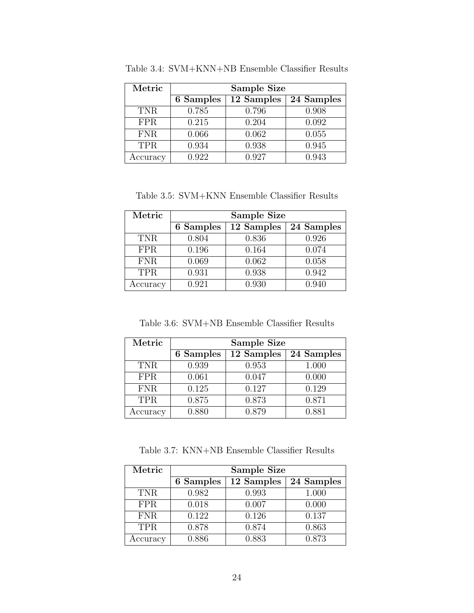| Metric     | Sample Size |            |            |
|------------|-------------|------------|------------|
|            | 6 Samples   | 12 Samples | 24 Samples |
| <b>TNR</b> | 0.785       | 0.796      | 0.908      |
| <b>FPR</b> | 0.215       | 0.204      | 0.092      |
| <b>FNR</b> | 0.066       | 0.062      | 0.055      |
| <b>TPR</b> | 0.934       | 0.938      | 0.945      |
| Accuracy   | 0.922       | 0.927      | 0.943      |

Table 3.4: SVM+KNN+NB Ensemble Classifier Results

Table 3.5: SVM+KNN Ensemble Classifier Results

| Metric     | Sample Size |            |            |
|------------|-------------|------------|------------|
|            | 6 Samples   | 12 Samples | 24 Samples |
| <b>TNR</b> | 0.804       | 0.836      | 0.926      |
| <b>FPR</b> | 0.196       | 0.164      | 0.074      |
| <b>FNR</b> | 0.069       | 0.062      | 0.058      |
| TPR.       | 0.931       | 0.938      | 0.942      |
| Accuracy   | 0.921       | 0.930      | 0.940      |

Table 3.6: SVM+NB Ensemble Classifier Results

| Metric     | Sample Size |                         |            |
|------------|-------------|-------------------------|------------|
|            | 6 Samples   | $\overline{12}$ Samples | 24 Samples |
| <b>TNR</b> | 0.939       | 0.953                   | 1.000      |
| <b>FPR</b> | 0.061       | 0.047                   | 0.000      |
| <b>FNR</b> | 0.125       | 0.127                   | 0.129      |
| <b>TPR</b> | 0.875       | 0.873                   | 0.871      |
| Accuracy   | 0.880       | 0.879                   | 0.881      |

Table 3.7: KNN+NB Ensemble Classifier Results

| Metric     | Sample Size |            |            |
|------------|-------------|------------|------------|
|            | 6 Samples   | 12 Samples | 24 Samples |
| <b>TNR</b> | 0.982       | 0.993      | 1.000      |
| <b>FPR</b> | 0.018       | 0.007      | 0.000      |
| <b>FNR</b> | 0.122       | 0.126      | 0.137      |
| <b>TPR</b> | 0.878       | 0.874      | 0.863      |
| Accuracy   | 0.886       | 0.883      | 0.873      |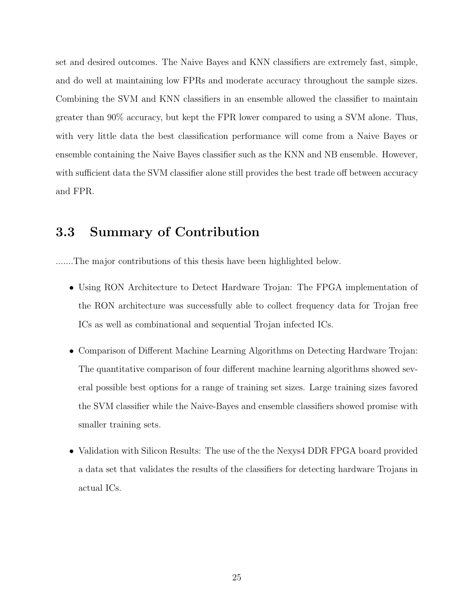set and desired outcomes. The Naive Bayes and KNN classifiers are extremely fast, simple, and do well at maintaining low FPRs and moderate accuracy throughout the sample sizes. Combining the SVM and KNN classifiers in an ensemble allowed the classifier to maintain greater than 90% accuracy, but kept the FPR lower compared to using a SVM alone. Thus, with very little data the best classification performance will come from a Naive Bayes or ensemble containing the Naive Bayes classifier such as the KNN and NB ensemble. However, with sufficient data the SVM classifier alone still provides the best trade off between accuracy and FPR.

#### 3.3 Summary of Contribution

.......The major contributions of this thesis have been highlighted below.

- Using RON Architecture to Detect Hardware Trojan: The FPGA implementation of the RON architecture was successfully able to collect frequency data for Trojan free ICs as well as combinational and sequential Trojan infected ICs.
- Comparison of Different Machine Learning Algorithms on Detecting Hardware Trojan: The quantitative comparison of four different machine learning algorithms showed several possible best options for a range of training set sizes. Large training sizes favored the SVM classifier while the Naive-Bayes and ensemble classifiers showed promise with smaller training sets.
- Validation with Silicon Results: The use of the the Nexys4 DDR FPGA board provided a data set that validates the results of the classifiers for detecting hardware Trojans in actual ICs.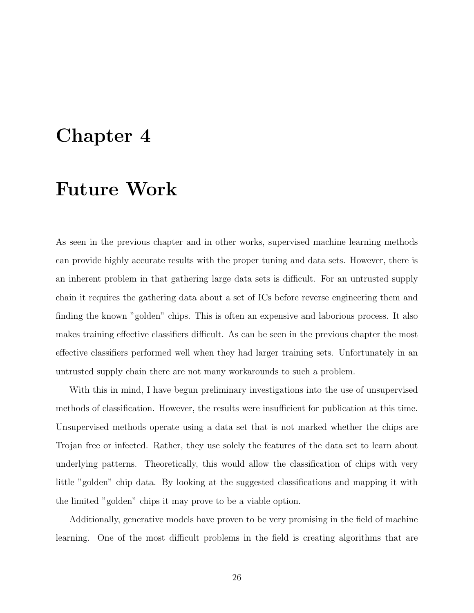### Chapter 4

## Future Work

As seen in the previous chapter and in other works, supervised machine learning methods can provide highly accurate results with the proper tuning and data sets. However, there is an inherent problem in that gathering large data sets is difficult. For an untrusted supply chain it requires the gathering data about a set of ICs before reverse engineering them and finding the known "golden" chips. This is often an expensive and laborious process. It also makes training effective classifiers difficult. As can be seen in the previous chapter the most effective classifiers performed well when they had larger training sets. Unfortunately in an untrusted supply chain there are not many workarounds to such a problem.

With this in mind, I have begun preliminary investigations into the use of unsupervised methods of classification. However, the results were insufficient for publication at this time. Unsupervised methods operate using a data set that is not marked whether the chips are Trojan free or infected. Rather, they use solely the features of the data set to learn about underlying patterns. Theoretically, this would allow the classification of chips with very little "golden" chip data. By looking at the suggested classifications and mapping it with the limited "golden" chips it may prove to be a viable option.

Additionally, generative models have proven to be very promising in the field of machine learning. One of the most difficult problems in the field is creating algorithms that are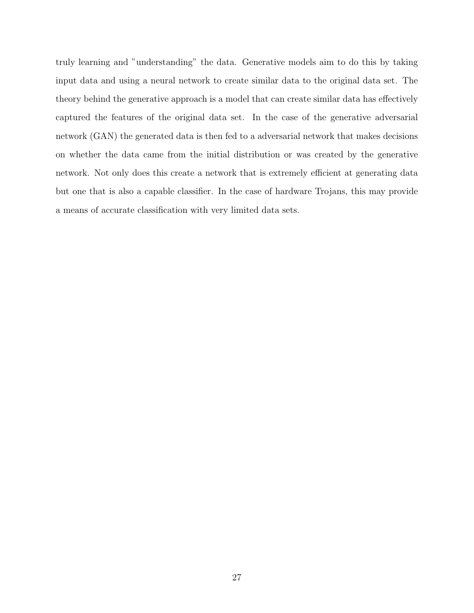truly learning and "understanding" the data. Generative models aim to do this by taking input data and using a neural network to create similar data to the original data set. The theory behind the generative approach is a model that can create similar data has effectively captured the features of the original data set. In the case of the generative adversarial network (GAN) the generated data is then fed to a adversarial network that makes decisions on whether the data came from the initial distribution or was created by the generative network. Not only does this create a network that is extremely efficient at generating data but one that is also a capable classifier. In the case of hardware Trojans, this may provide a means of accurate classification with very limited data sets.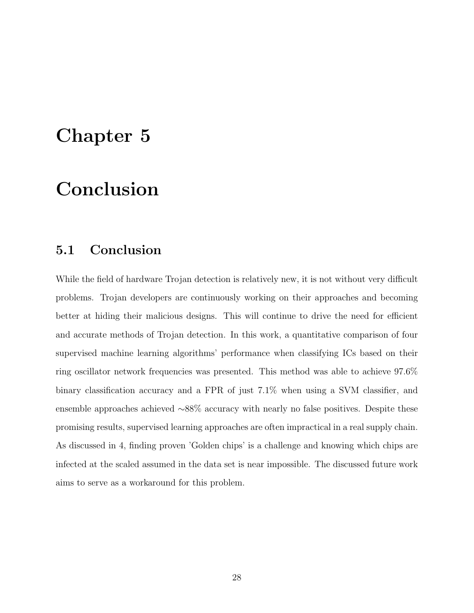## Chapter 5

## Conclusion

#### 5.1 Conclusion

While the field of hardware Trojan detection is relatively new, it is not without very difficult problems. Trojan developers are continuously working on their approaches and becoming better at hiding their malicious designs. This will continue to drive the need for efficient and accurate methods of Trojan detection. In this work, a quantitative comparison of four supervised machine learning algorithms' performance when classifying ICs based on their ring oscillator network frequencies was presented. This method was able to achieve 97.6% binary classification accuracy and a FPR of just 7.1% when using a SVM classifier, and ensemble approaches achieved ∼88% accuracy with nearly no false positives. Despite these promising results, supervised learning approaches are often impractical in a real supply chain. As discussed in 4, finding proven 'Golden chips' is a challenge and knowing which chips are infected at the scaled assumed in the data set is near impossible. The discussed future work aims to serve as a workaround for this problem.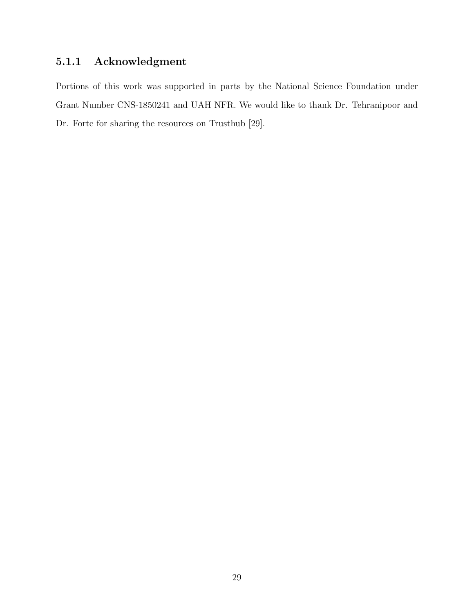#### 5.1.1 Acknowledgment

Portions of this work was supported in parts by the National Science Foundation under Grant Number CNS-1850241 and UAH NFR. We would like to thank Dr. Tehranipoor and Dr. Forte for sharing the resources on Trusthub [29].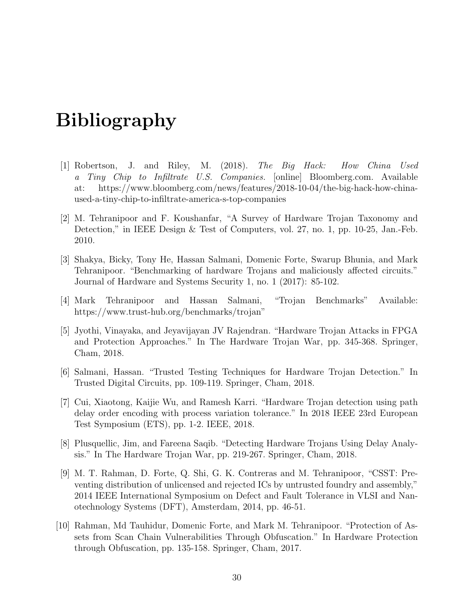## Bibliography

- [1] Robertson, J. and Riley, M. (2018). The Big Hack: How China Used a Tiny Chip to Infiltrate U.S. Companies. [online] Bloomberg.com. Available at: https://www.bloomberg.com/news/features/2018-10-04/the-big-hack-how-chinaused-a-tiny-chip-to-infiltrate-america-s-top-companies
- [2] M. Tehranipoor and F. Koushanfar, "A Survey of Hardware Trojan Taxonomy and Detection," in IEEE Design & Test of Computers, vol. 27, no. 1, pp. 10-25, Jan.-Feb. 2010.
- [3] Shakya, Bicky, Tony He, Hassan Salmani, Domenic Forte, Swarup Bhunia, and Mark Tehranipoor. "Benchmarking of hardware Trojans and maliciously affected circuits." Journal of Hardware and Systems Security 1, no. 1 (2017): 85-102.
- [4] Mark Tehranipoor and Hassan Salmani, "Trojan Benchmarks" Available: https://www.trust-hub.org/benchmarks/trojan"
- [5] Jyothi, Vinayaka, and Jeyavijayan JV Rajendran. "Hardware Trojan Attacks in FPGA and Protection Approaches." In The Hardware Trojan War, pp. 345-368. Springer, Cham, 2018.
- [6] Salmani, Hassan. "Trusted Testing Techniques for Hardware Trojan Detection." In Trusted Digital Circuits, pp. 109-119. Springer, Cham, 2018.
- [7] Cui, Xiaotong, Kaijie Wu, and Ramesh Karri. "Hardware Trojan detection using path delay order encoding with process variation tolerance." In 2018 IEEE 23rd European Test Symposium (ETS), pp. 1-2. IEEE, 2018.
- [8] Plusquellic, Jim, and Fareena Saqib. "Detecting Hardware Trojans Using Delay Analysis." In The Hardware Trojan War, pp. 219-267. Springer, Cham, 2018.
- [9] M. T. Rahman, D. Forte, Q. Shi, G. K. Contreras and M. Tehranipoor, "CSST: Preventing distribution of unlicensed and rejected ICs by untrusted foundry and assembly," 2014 IEEE International Symposium on Defect and Fault Tolerance in VLSI and Nanotechnology Systems (DFT), Amsterdam, 2014, pp. 46-51.
- [10] Rahman, Md Tauhidur, Domenic Forte, and Mark M. Tehranipoor. "Protection of Assets from Scan Chain Vulnerabilities Through Obfuscation." In Hardware Protection through Obfuscation, pp. 135-158. Springer, Cham, 2017.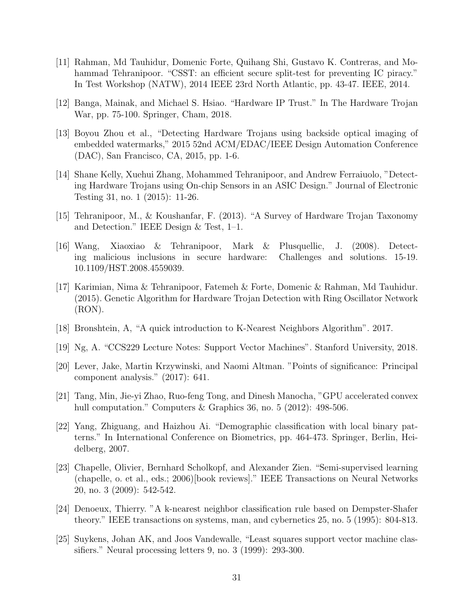- [11] Rahman, Md Tauhidur, Domenic Forte, Quihang Shi, Gustavo K. Contreras, and Mohammad Tehranipoor. "CSST: an efficient secure split-test for preventing IC piracy." In Test Workshop (NATW), 2014 IEEE 23rd North Atlantic, pp. 43-47. IEEE, 2014.
- [12] Banga, Mainak, and Michael S. Hsiao. "Hardware IP Trust." In The Hardware Trojan War, pp. 75-100. Springer, Cham, 2018.
- [13] Boyou Zhou et al., "Detecting Hardware Trojans using backside optical imaging of embedded watermarks," 2015 52nd ACM/EDAC/IEEE Design Automation Conference (DAC), San Francisco, CA, 2015, pp. 1-6.
- [14] Shane Kelly, Xuehui Zhang, Mohammed Tehranipoor, and Andrew Ferraiuolo, "Detecting Hardware Trojans using On-chip Sensors in an ASIC Design." Journal of Electronic Testing 31, no. 1 (2015): 11-26.
- [15] Tehranipoor, M., & Koushanfar, F. (2013). "A Survey of Hardware Trojan Taxonomy and Detection." IEEE Design & Test, 1–1.
- [16] Wang, Xiaoxiao & Tehranipoor, Mark & Plusquellic, J. (2008). Detecting malicious inclusions in secure hardware: Challenges and solutions. 15-19. 10.1109/HST.2008.4559039.
- [17] Karimian, Nima & Tehranipoor, Fatemeh & Forte, Domenic & Rahman, Md Tauhidur. (2015). Genetic Algorithm for Hardware Trojan Detection with Ring Oscillator Network (RON).
- [18] Bronshtein, A, "A quick introduction to K-Nearest Neighbors Algorithm". 2017.
- [19] Ng, A. "CCS229 Lecture Notes: Support Vector Machines". Stanford University, 2018.
- [20] Lever, Jake, Martin Krzywinski, and Naomi Altman. "Points of significance: Principal component analysis." (2017): 641.
- [21] Tang, Min, Jie-yi Zhao, Ruo-feng Tong, and Dinesh Manocha, "GPU accelerated convex hull computation." Computers & Graphics 36, no. 5 (2012): 498-506.
- [22] Yang, Zhiguang, and Haizhou Ai. "Demographic classification with local binary patterns." In International Conference on Biometrics, pp. 464-473. Springer, Berlin, Heidelberg, 2007.
- [23] Chapelle, Olivier, Bernhard Scholkopf, and Alexander Zien. "Semi-supervised learning (chapelle, o. et al., eds.; 2006)[book reviews]." IEEE Transactions on Neural Networks 20, no. 3 (2009): 542-542.
- [24] Denoeux, Thierry. "A k-nearest neighbor classification rule based on Dempster-Shafer theory." IEEE transactions on systems, man, and cybernetics 25, no. 5 (1995): 804-813.
- [25] Suykens, Johan AK, and Joos Vandewalle, "Least squares support vector machine classifiers." Neural processing letters 9, no. 3 (1999): 293-300.